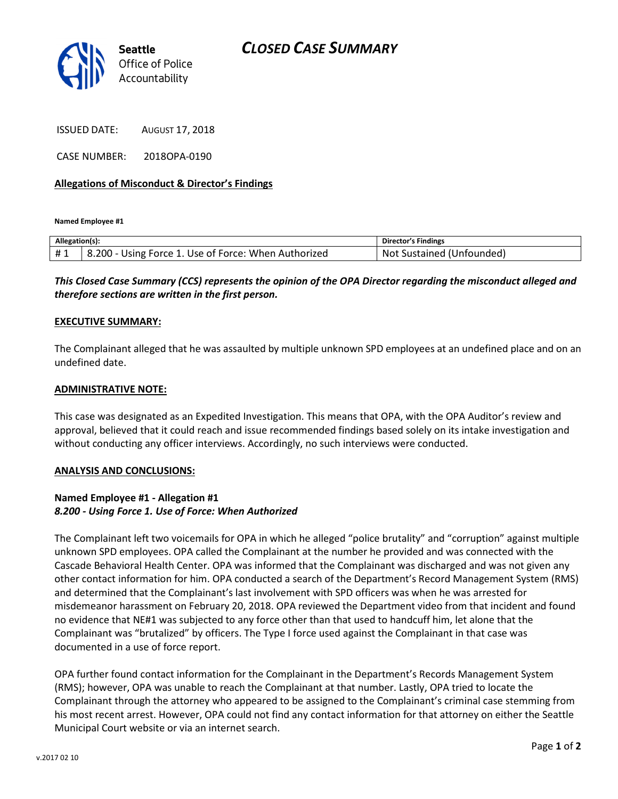

ISSUED DATE: AUGUST 17, 2018

CASE NUMBER: 2018OPA-0190

## Allegations of Misconduct & Director's Findings

Named Employee #1

| Allegation(s): |                                                      | <b>Director's Findings</b> |
|----------------|------------------------------------------------------|----------------------------|
| #1             | 8.200 - Using Force 1. Use of Force: When Authorized | Not Sustained (Unfounded)  |

This Closed Case Summary (CCS) represents the opinion of the OPA Director regarding the misconduct alleged and therefore sections are written in the first person.

### EXECUTIVE SUMMARY:

The Complainant alleged that he was assaulted by multiple unknown SPD employees at an undefined place and on an undefined date.

### ADMINISTRATIVE NOTE:

This case was designated as an Expedited Investigation. This means that OPA, with the OPA Auditor's review and approval, believed that it could reach and issue recommended findings based solely on its intake investigation and without conducting any officer interviews. Accordingly, no such interviews were conducted.

### ANALYSIS AND CONCLUSIONS:

# Named Employee #1 - Allegation #1 8.200 - Using Force 1. Use of Force: When Authorized

The Complainant left two voicemails for OPA in which he alleged "police brutality" and "corruption" against multiple unknown SPD employees. OPA called the Complainant at the number he provided and was connected with the Cascade Behavioral Health Center. OPA was informed that the Complainant was discharged and was not given any other contact information for him. OPA conducted a search of the Department's Record Management System (RMS) and determined that the Complainant's last involvement with SPD officers was when he was arrested for misdemeanor harassment on February 20, 2018. OPA reviewed the Department video from that incident and found no evidence that NE#1 was subjected to any force other than that used to handcuff him, let alone that the Complainant was "brutalized" by officers. The Type I force used against the Complainant in that case was documented in a use of force report.

OPA further found contact information for the Complainant in the Department's Records Management System (RMS); however, OPA was unable to reach the Complainant at that number. Lastly, OPA tried to locate the Complainant through the attorney who appeared to be assigned to the Complainant's criminal case stemming from his most recent arrest. However, OPA could not find any contact information for that attorney on either the Seattle Municipal Court website or via an internet search.